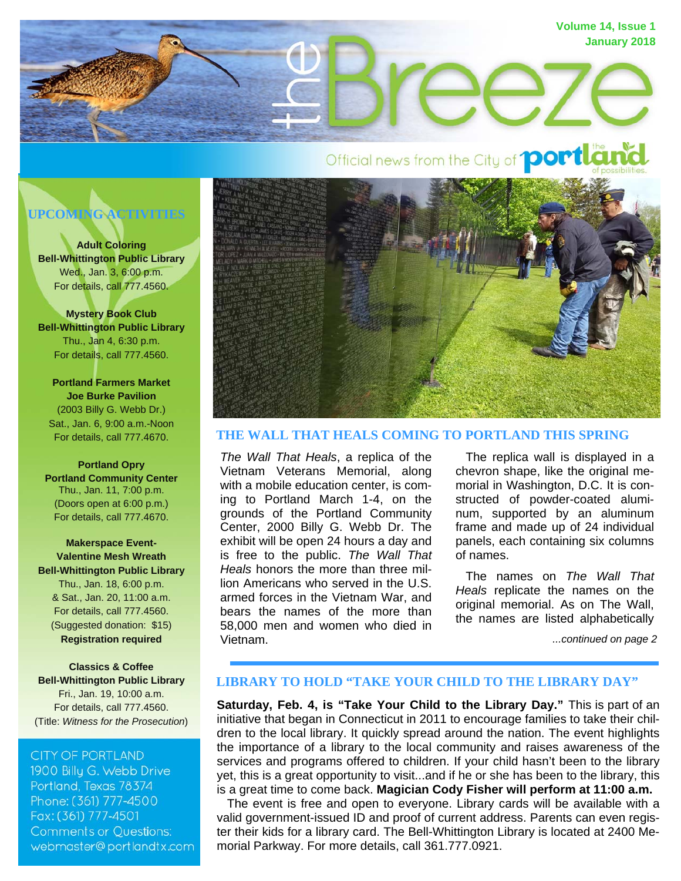

# **UPCOMING ACTIVITIES**

**Adult Coloring Bell-Whittington Public Library**  Wed., Jan. 3, 6:00 p.m. For details, call 777.4560.

**Mystery Book Club Bell-Whittington Public Library**  Thu., Jan 4, 6:30 p.m. For details, call 777.4560.

**Portland Farmers Market Joe Burke Pavilion**  (2003 Billy G. Webb Dr.) Sat., Jan. 6, 9:00 a.m.-Noon For details, call 777.4670.

**Portland Opry Portland Community Center**  Thu., Jan. 11, 7:00 p.m. (Doors open at 6:00 p.m.) For details, call 777.4670.

**Makerspace Event-Valentine Mesh Wreath Bell-Whittington Public Library**  Thu., Jan. 18, 6:00 p.m. & Sat., Jan. 20, 11:00 a.m. For details, call 777.4560. (Suggested donation: \$15) **Registration required** 

**Classics & Coffee Bell-Whittington Public Library**  Fri., Jan. 19, 10:00 a.m. For details, call 777.4560. (Title: *Witness for the Prosecution*)

#### **CITY OF PORTLAND**

1900 Billy G. Webb Drive Portland, Texas 78374 Phone: (361) 777-4500 Fax: (361) 777-4501 **Comments or Questions:** webmaster@portlandtx.com



## **THE WALL THAT HEALS COMING TO PORTLAND THIS SPRING**

*The Wall That Heals*, a replica of the Vietnam Veterans Memorial, along with a mobile education center, is coming to Portland March 1-4, on the grounds of the Portland Community Center, 2000 Billy G. Webb Dr. The exhibit will be open 24 hours a day and is free to the public. *The Wall That Heals* honors the more than three million Americans who served in the U.S. armed forces in the Vietnam War, and bears the names of the more than 58,000 men and women who died in Vietnam.

 The replica wall is displayed in a chevron shape, like the original memorial in Washington, D.C. It is constructed of powder-coated aluminum, supported by an aluminum frame and made up of 24 individual panels, each containing six columns of names.

 The names on *The Wall That Heals* replicate the names on the original memorial. As on The Wall, the names are listed alphabetically

*...continued on page 2*

#### **LIBRARY TO HOLD "TAKE YOUR CHILD TO THE LIBRARY DAY"**

**Saturday, Feb. 4, is "Take Your Child to the Library Day."** This is part of an initiative that began in Connecticut in 2011 to encourage families to take their children to the local library. It quickly spread around the nation. The event highlights the importance of a library to the local community and raises awareness of the services and programs offered to children. If your child hasn't been to the library yet, this is a great opportunity to visit...and if he or she has been to the library, this is a great time to come back. **Magician Cody Fisher will perform at 11:00 a.m.** 

 The event is free and open to everyone. Library cards will be available with a valid government-issued ID and proof of current address. Parents can even register their kids for a library card. The Bell-Whittington Library is located at 2400 Memorial Parkway. For more details, call 361.777.0921.